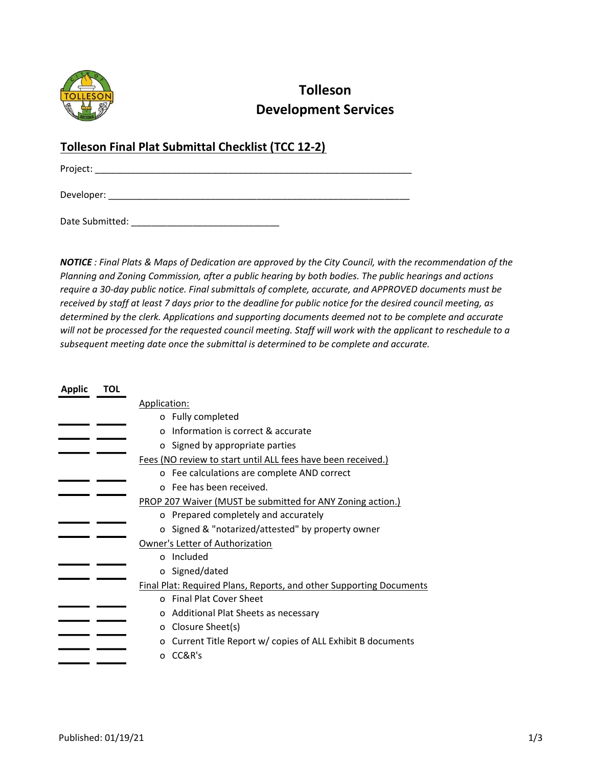

## Tolleson Development Services

## Tolleson Final Plat Submittal Checklist (TCC 12-2)

Project: \_\_\_\_\_\_\_\_\_\_\_\_\_\_\_\_\_\_\_\_\_\_\_\_\_\_\_\_\_\_\_\_\_\_\_\_\_\_\_\_\_\_\_\_\_\_\_\_\_\_\_\_\_\_\_\_\_\_\_\_\_\_

Developer: \_\_\_\_\_\_\_\_\_\_\_\_\_\_\_\_\_\_\_\_\_\_\_\_\_\_\_\_\_\_\_\_\_\_\_\_\_\_\_\_\_\_\_\_\_\_\_\_\_\_\_\_\_\_\_\_\_\_\_

Date Submitted:  $\Box$ 

NOTICE : Final Plats & Maps of Dedication are approved by the City Council, with the recommendation of the Planning and Zoning Commission, after a public hearing by both bodies. The public hearings and actions require a 30-day public notice. Final submittals of complete, accurate, and APPROVED documents must be received by staff at least 7 days prior to the deadline for public notice for the desired council meeting, as determined by the clerk. Applications and supporting documents deemed not to be complete and accurate will not be processed for the requested council meeting. Staff will work with the applicant to reschedule to a subsequent meeting date once the submittal is determined to be complete and accurate.

| TOL                                                                 |                                                                |  |  |
|---------------------------------------------------------------------|----------------------------------------------------------------|--|--|
|                                                                     | Application:                                                   |  |  |
|                                                                     | o Fully completed                                              |  |  |
|                                                                     | Information is correct & accurate<br>$\Omega$                  |  |  |
|                                                                     | o Signed by appropriate parties                                |  |  |
|                                                                     | Fees (NO review to start until ALL fees have been received.)   |  |  |
|                                                                     | o Fee calculations are complete AND correct                    |  |  |
|                                                                     | o Fee has been received.                                       |  |  |
|                                                                     | PROP 207 Waiver (MUST be submitted for ANY Zoning action.)     |  |  |
|                                                                     | o Prepared completely and accurately                           |  |  |
|                                                                     | o Signed & "notarized/attested" by property owner              |  |  |
|                                                                     | Owner's Letter of Authorization                                |  |  |
|                                                                     | o Included                                                     |  |  |
|                                                                     | o Signed/dated                                                 |  |  |
| Final Plat: Required Plans, Reports, and other Supporting Documents |                                                                |  |  |
|                                                                     | o Final Plat Cover Sheet                                       |  |  |
|                                                                     | Additional Plat Sheets as necessary<br>O                       |  |  |
|                                                                     | Closure Sheet(s)<br>0                                          |  |  |
|                                                                     | Current Title Report w/ copies of ALL Exhibit B documents<br>о |  |  |
|                                                                     | CC&R's<br>O                                                    |  |  |
|                                                                     |                                                                |  |  |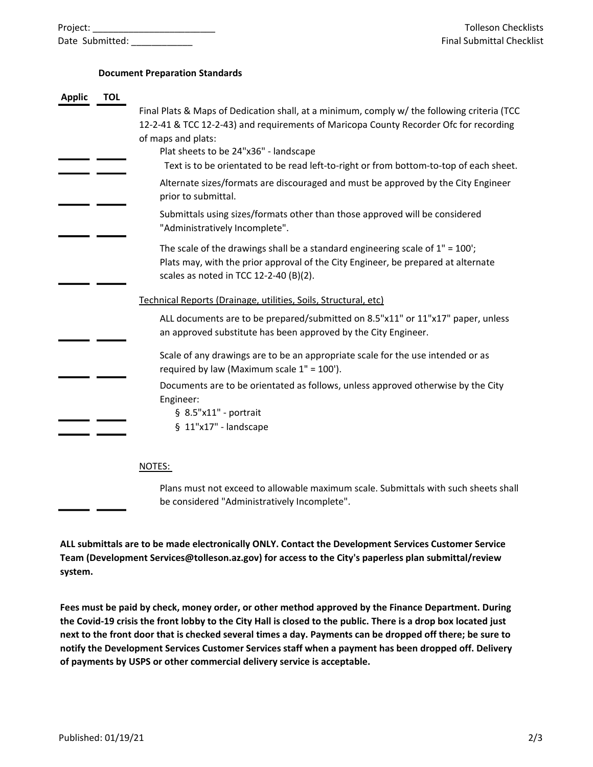| Project:        |  |
|-----------------|--|
| Date Submitted: |  |

## Document Preparation Standards

| <b>Applic</b> | <b>TOL</b> |                                                                                                                                                                                                                 |
|---------------|------------|-----------------------------------------------------------------------------------------------------------------------------------------------------------------------------------------------------------------|
|               |            | Final Plats & Maps of Dedication shall, at a minimum, comply w/ the following criteria (TCC<br>12-2-41 & TCC 12-2-43) and requirements of Maricopa County Recorder Ofc for recording                            |
|               |            | of maps and plats:                                                                                                                                                                                              |
|               |            | Plat sheets to be 24"x36" - landscape                                                                                                                                                                           |
|               |            | Text is to be orientated to be read left-to-right or from bottom-to-top of each sheet.                                                                                                                          |
|               |            | Alternate sizes/formats are discouraged and must be approved by the City Engineer<br>prior to submittal.                                                                                                        |
|               |            | Submittals using sizes/formats other than those approved will be considered<br>"Administratively Incomplete".                                                                                                   |
|               |            | The scale of the drawings shall be a standard engineering scale of $1" = 100'$ ;<br>Plats may, with the prior approval of the City Engineer, be prepared at alternate<br>scales as noted in TCC 12-2-40 (B)(2). |
|               |            | Technical Reports (Drainage, utilities, Soils, Structural, etc)                                                                                                                                                 |
|               |            | ALL documents are to be prepared/submitted on 8.5"x11" or 11"x17" paper, unless<br>an approved substitute has been approved by the City Engineer.                                                               |
|               |            | Scale of any drawings are to be an appropriate scale for the use intended or as<br>required by law (Maximum scale 1" = 100').                                                                                   |
|               |            | Documents are to be orientated as follows, unless approved otherwise by the City<br>Engineer:                                                                                                                   |
|               |            | $§ 8.5"x11"$ - portrait                                                                                                                                                                                         |
|               |            | $§$ 11"x17" - landscape                                                                                                                                                                                         |
|               |            | NOTES:                                                                                                                                                                                                          |
|               |            | Plans must not exceed to allowable maximum scale. Submittals with such sheets shall<br>be considered "Administratively Incomplete".                                                                             |

ALL submittals are to be made electronically ONLY. Contact the Development Services Customer Service Team (Development Services@tolleson.az.gov) for access to the City's paperless plan submittal/review system.

Fees must be paid by check, money order, or other method approved by the Finance Department. During the Covid-19 crisis the front lobby to the City Hall is closed to the public. There is a drop box located just next to the front door that is checked several times a day. Payments can be dropped off there; be sure to notify the Development Services Customer Services staff when a payment has been dropped off. Delivery of payments by USPS or other commercial delivery service is acceptable.